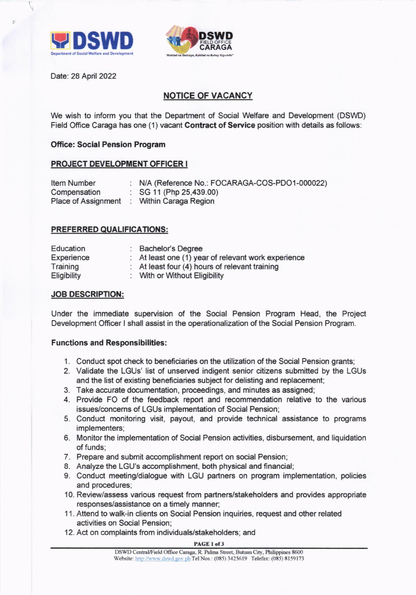



Date: 28 April 2022

# NOTICE OF VACANCY

We wish to inform you that the Department of Social Welfare and Development (DSWD) Field Office Caraga has one (1) vacant **Contract of Service** position with details as follows:

## **Office: Social Pension Program**

# PROJECT DEVELOPMENT OFFICER <sup>I</sup>

| <b>Item Number</b>  | : N/A (Reference No.: FOCARAGA-COS-PDO1-000022) |
|---------------------|-------------------------------------------------|
| Compensation        | : $SG 11$ (Php 25,439.00)                       |
| Place of Assignment | Within Caraga Region                            |

### PREFERRED QUALIFICATIONS:

| Education   | : Bachelor's Degree                                 |
|-------------|-----------------------------------------------------|
| Experience  | : At least one (1) year of relevant work experience |
| Training    | : At least four (4) hours of relevant training      |
| Eligibility | : With or Without Eligibility                       |

#### JOB DESCRIPTION:

Under the immediate supervision of the Social Pension Program Head, the Project Development Officer I shall assist in the operationalization of the Social Pension Program.

#### Functions and Responsibilities:

- 1. Conduct spot check to beneficiaries on the utilization of the Social Pension grants;
- 2. Validate the LGUs' list of unserved indigent senior citizens submitted by the LGUs and the list of existing beneficiaries subject for delisting and replacement;
- 3. Take accurate documentation, proceedings, and minutes as assigned;
- 4. Provide FO of the feedback report and recommendation relative to the various issues/concerns of LGUs implementation of Social Pension;
- 5. Conduc{ monitoring visit, payout, and provide technical assistance to programs implementers;
- 6. Monitor the implementation of Social Pension ac{ivities, disbursement, and liquidation of funds;
- 7. Prepare and submit accomplishment report on social Pension;
- 8. Analyze the LGU's accomplishment, both physical and financial;
- 9. Conduct meeting/dialogue with LGU partners on program implementation, policies and procedures;
- 10. Review/assess various request from partners/stakeholders and provides appropriate responses/assistance on a timely manner;
- 11. Attend to walk-in clients on Social Pension inquiries, request and other related activities on Social Pension;
- 12. Act on complaints from individuals/stakeholders; and

#### PAGE 1 of 3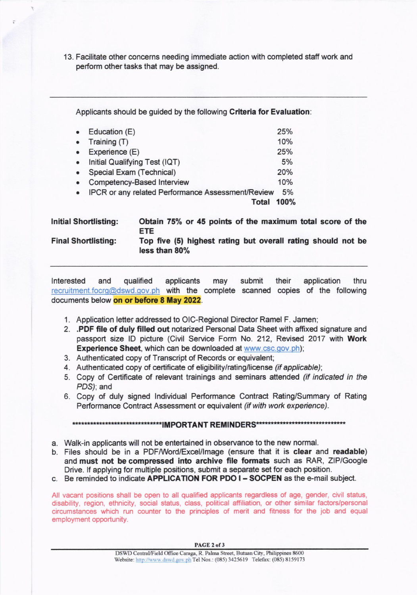13. Facilitate other concerns needing immediate ac{ion with completed staff work and perform other tasks that may be assigned.

Applicants should be guided by the following Criteria for Evaluation:

|                                                          | 25%           |
|----------------------------------------------------------|---------------|
| Training (T)                                             | 10%           |
| Experience (E)                                           | 25%           |
| Initial Qualifying Test (IQT)                            | 5%            |
| Special Exam (Technical)                                 | 20%           |
| Competency-Based Interview                               | 10%           |
| <b>IPCR or any related Performance Assessment/Review</b> | 5%            |
| Total                                                    | 100%          |
|                                                          | Education (E) |

| <b>Initial Shortlisting:</b> | Obtain 75% or 45 points of the maximum total score of the<br>ETE.             |
|------------------------------|-------------------------------------------------------------------------------|
| <b>Final Shortlisting:</b>   | Top five (5) highest rating but overall rating should not be<br>less than 80% |

Interested and qualified applicants recruitment focrg@dswd.gov.ph with the complete scanned copies of the following may submit their application thru documents below on or before 8 May 2022.

- 1. Application letter addressed to OIC-Regional Director Ramel F. Jamen;
- 2. .POF file of duly filled out notarized Personal Data Sheet with affixed signature and passport size ID picture (Civil Service Form No. 212, Revised 2017 with Work Experience Sheet, which can be downloaded at www.csc.gov.ph);
- 3. Authenticated copy of Transcript of Records or equivalent;
- 4. Authenticated copy of certificate of eligibility/rating/license (if applicable);
- 5. Copy of Certificate of relevant trainings and seminars attended (if indicated in the PDS); and
- 6. Copy of duly signed lndividual Performance Contract Rating/Summary of Rating Performance Contract Assessment or equivalent (if with work experience).

MPORTANT REMINDERS\*T\*

- a. Walk-in applicants will not be entertained in observance to the new normal.
- b. Files should be in a PDFMord/Excel/lmage (ensure that it is clear and readable) and must not be compressed into archive file formats such as RAR, ZIP/Google Drive. lf applying for multiple positions, submit a separate set for each position.
- c. Be reminded to indicate APPLICATION FOR PDO I SOCPEN as the e-mail subject.

All vacant positions shall be open to all qualified applicants regardless of age, gender, civil status, disability, region, ethnicity, social status, class, political affiliation, or other similar faclors/personal circumstances which run counter to the principles of merit and fitness for the job and equal employment opportunity.

PAGE 2 of 3